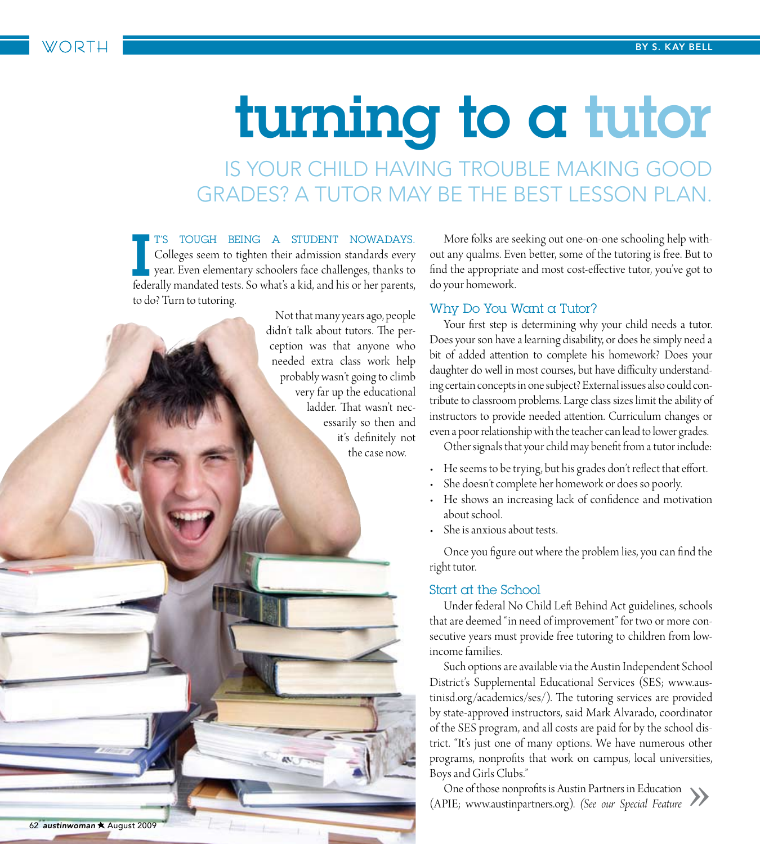# turning to a tutor

Is your child having trouble making good grades? A tutor may be the best lesson plan.

T'S TOUGH BEING A STUDENT NOWADAYS.<br>Colleges seem to tighten their admission standards every<br>year. Even elementary schoolers face challenges, thanks to<br>federally mandated tests. So what's a kid, and his or her parents, t's tough being a student nowadays. Colleges seem to tighten their admission standards every year. Even elementary schoolers face challenges, thanks to to do? Turn to tutoring.



More folks are seeking out one-on-one schooling help without any qualms. Even better, some of the tutoring is free. But to find the appropriate and most cost-effective tutor, you've got to do your homework.

#### Why Do You Want a Tutor?

Your first step is determining why your child needs a tutor. Does your son have a learning disability, or does he simply need a bit of added attention to complete his homework? Does your daughter do well in most courses, but have difficulty understanding certain concepts in one subject? External issues also could contribute to classroom problems. Large class sizes limit the ability of instructors to provide needed attention. Curriculum changes or even a poor relationship with the teacher can lead to lower grades.

Other signals that your child may benefit from a tutor include:

- He seems to be trying, but his grades don't reflect that effort.
- She doesn't complete her homework or does so poorly.
- He shows an increasing lack of confidence and motivation about school.
- She is anxious about tests.

Once you figure out where the problem lies, you can find the right tutor.

#### Start at the School

Under federal No Child Left Behind Act guidelines, schools that are deemed "in need of improvement" for two or more consecutive years must provide free tutoring to children from lowincome families.

Such options are available via the Austin Independent School District's Supplemental Educational Services (SES; www.austinisd.org/academics/ses/). The tutoring services are provided by state-approved instructors, said Mark Alvarado, coordinator of the SES program, and all costs are paid for by the school district. "It's just one of many options. We have numerous other programs, nonprofits that work on campus, local universities, Boys and Girls Clubs."

One of those nonprofits is Austin Partners in Education (APIE; www.austinpartners.org). *(See our Special Feature* »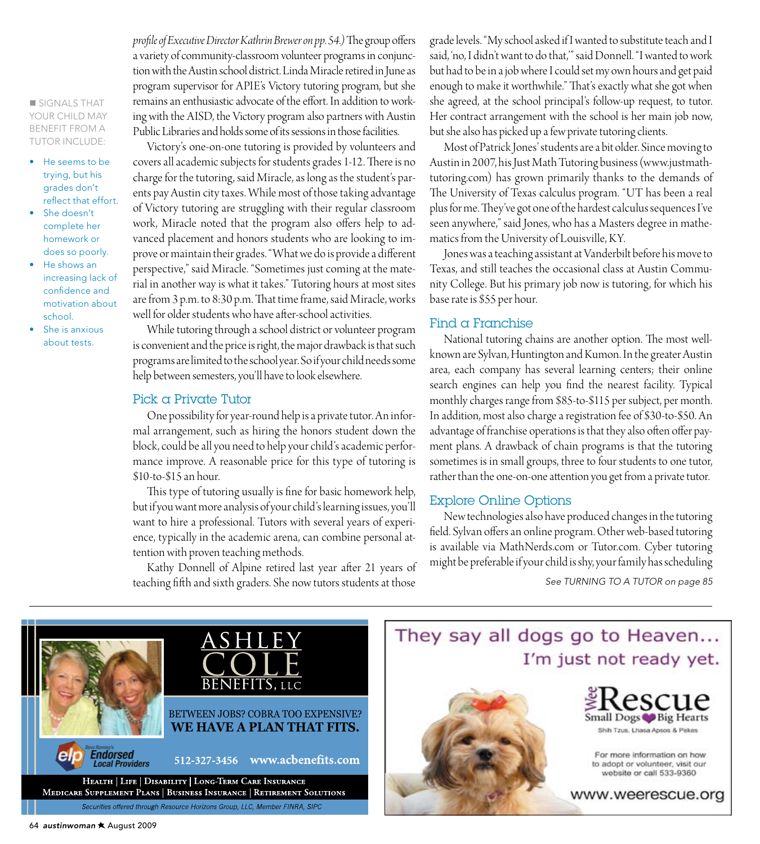**SIGNALS THAT** your child may benefit from a tutor include:

- He seems to be trying, but his grades don't reflect that effort.
- She doesn't complete her homework or does so poorly.
- • He shows an increasing lack of confidence and motivation about school.
- She is anxious about tests.

*profile of Executive Director Kathrin Brewer on pp. 54.)* The group offers a variety of community-classroom volunteer programs in conjunction with the Austin school district. Linda Miracle retired in June as program supervisor for APIE's Victory tutoring program, but she remains an enthusiastic advocate of the effort. In addition to working with the AISD, the Victory program also partners with Austin Public Libraries and holds some of its sessions in those facilities.

Victory's one-on-one tutoring is provided by volunteers and covers all academic subjects for students grades 1-12. There is no charge for the tutoring, said Miracle, as long as the student's parents pay Austin city taxes. While most of those taking advantage of Victory tutoring are struggling with their regular classroom work, Miracle noted that the program also offers help to advanced placement and honors students who are looking to improve or maintain their grades. "What we do is provide a different perspective," said Miracle. "Sometimes just coming at the material in another way is what it takes." Tutoring hours at most sites are from 3 p.m. to 8:30 p.m. That time frame, said Miracle, works well for older students who have after-school activities.

While tutoring through a school district or volunteer program is convenient and the price is right, the major drawback is that such programs are limited to the school year. So if your child needs some help between semesters, you'll have to look elsewhere.

#### Pick a Private Tutor

One possibility for year-round help is a private tutor. An informal arrangement, such as hiring the honors student down the block, could be all you need to help your child's academic performance improve. A reasonable price for this type of tutoring is \$10-to-\$15 an hour.

This type of tutoring usually is fine for basic homework help, but if you want more analysis of your child's learning issues, you'll want to hire a professional. Tutors with several years of experience, typically in the academic arena, can combine personal attention with proven teaching methods.

Kathy Donnell of Alpine retired last year after 21 years of teaching fifth and sixth graders. She now tutors students at those grade levels. "My school asked if I wanted to substitute teach and I said, 'no, I didn't want to do that,'" said Donnell. "I wanted to work but had to be in a job where I could set my own hours and get paid enough to make it worthwhile." That's exactly what she got when she agreed, at the school principal's follow-up request, to tutor. Her contract arrangement with the school is her main job now, but she also has picked up a few private tutoring clients.

Most of Patrick Jones' students are a bit older. Since moving to Austin in 2007, his Just Math Tutoring business (www.justmathtutoring.com) has grown primarily thanks to the demands of The University of Texas calculus program. "UT has been a real plus for me. They've got one of the hardest calculus sequences I've seen anywhere," said Jones, who has a Masters degree in mathematics from the University of Louisville, KY.

Jones was a teaching assistant at Vanderbilt before his move to Texas, and still teaches the occasional class at Austin Community College. But his primary job now is tutoring, for which his base rate is \$55 per hour.

#### Find a Franchise

National tutoring chains are another option. The most wellknown are Sylvan, Huntington and Kumon. In the greater Austin area, each company has several learning centers; their online search engines can help you find the nearest facility. Typical monthly charges range from \$85-to-\$115 per subject, per month. In addition, most also charge a registration fee of \$30-to-\$50. An advantage of franchise operations is that they also often offer payment plans. A drawback of chain programs is that the tutoring sometimes is in small groups, three to four students to one tutor, rather than the one-on-one attention you get from a private tutor.

#### Explore Online Options

New technologies also have produced changes in the tutoring field. Sylvan offers an online program. Other web-based tutoring is available via MathNerds.com or Tutor.com. Cyber tutoring might be preferable if your child is shy, your family has scheduling

*See Turning to a Tutor on page 85*



## They say all dogs go to Heaven... I'm just not ready yet.





For more information on how to adopt or volunteer, visit our website or call 533-9360

www.weerescue.org